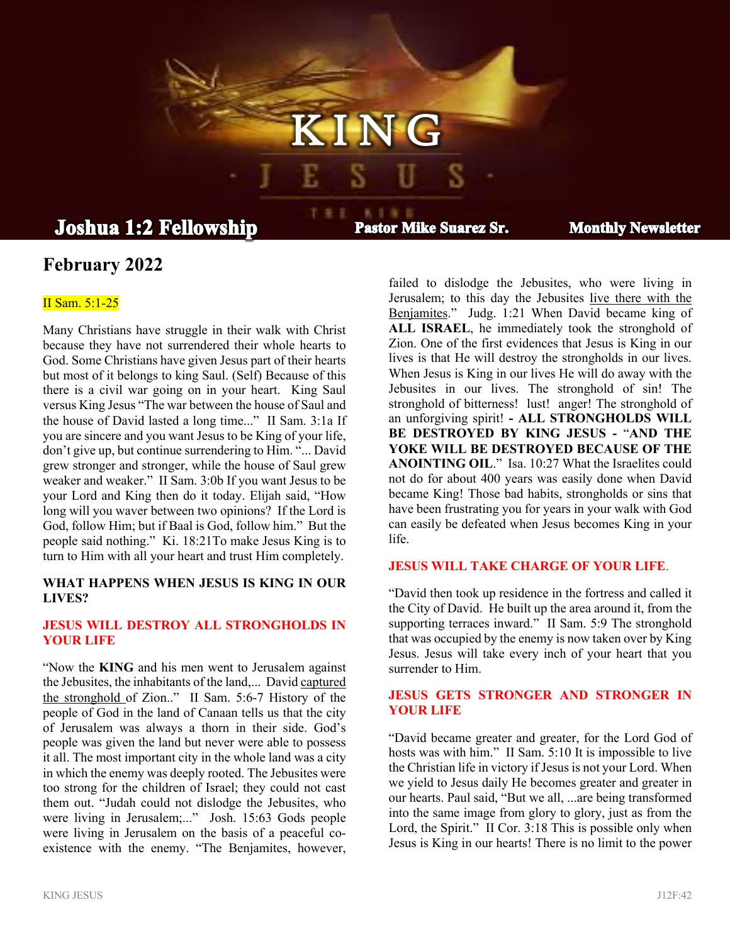# **Joshua 1:2 Fellowship**

**Pastor Mike Suarez Sr.** 

K I N G

私主催工

**Monthly Newsletter** 

# **February 2022**

### II Sam. 5:1-25

Many Christians have struggle in their walk with Christ because they have not surrendered their whole hearts to God. Some Christians have given Jesus part of their hearts but most of it belongs to king Saul. (Self) Because of this there is a civil war going on in your heart. King Saul versus King Jesus "The war between the house of Saul and the house of David lasted a long time..." II Sam. 3:1a If you are sincere and you want Jesus to be King of your life, don't give up, but continue surrendering to Him. "... David grew stronger and stronger, while the house of Saul grew weaker and weaker." II Sam. 3:0b If you want Jesus to be your Lord and King then do it today. Elijah said, "How long will you waver between two opinions? If the Lord is God, follow Him; but if Baal is God, follow him." But the people said nothing." Ki. 18:21To make Jesus King is to turn to Him with all your heart and trust Him completely.

#### **WHAT HAPPENS WHEN JESUS IS KING IN OUR LIVES?**

# **JESUS WILL DESTROY ALL STRONGHOLDS IN YOUR LIFE**

"Now the **KING** and his men went to Jerusalem against the Jebusites, the inhabitants of the land,... David captured the stronghold of Zion.." II Sam. 5:6-7 History of the people of God in the land of Canaan tells us that the city of Jerusalem was always a thorn in their side. God's people was given the land but never were able to possess it all. The most important city in the whole land was a city in which the enemy was deeply rooted. The Jebusites were too strong for the children of Israel; they could not cast them out. "Judah could not dislodge the Jebusites, who were living in Jerusalem;..." Josh. 15:63 Gods people were living in Jerusalem on the basis of a peaceful coexistence with the enemy. "The Benjamites, however,

failed to dislodge the Jebusites, who were living in Jerusalem; to this day the Jebusites live there with the Benjamites." Judg. 1:21 When David became king of **ALL ISRAEL**, he immediately took the stronghold of Zion. One of the first evidences that Jesus is King in our lives is that He will destroy the strongholds in our lives. When Jesus is King in our lives He will do away with the Jebusites in our lives. The stronghold of sin! The stronghold of bitterness! lust! anger! The stronghold of an unforgiving spirit! **- ALL STRONGHOLDS WILL BE DESTROYED BY KING JESUS -** "**AND THE YOKE WILL BE DESTROYED BECAUSE OF THE ANOINTING OIL**." Isa. 10:27 What the Israelites could not do for about 400 years was easily done when David became King! Those bad habits, strongholds or sins that have been frustrating you for years in your walk with God can easily be defeated when Jesus becomes King in your life.

#### **JESUS WILL TAKE CHARGE OF YOUR LIFE**.

"David then took up residence in the fortress and called it the City of David. He built up the area around it, from the supporting terraces inward." II Sam. 5:9 The stronghold that was occupied by the enemy is now taken over by King Jesus. Jesus will take every inch of your heart that you surrender to Him.

# **JESUS GETS STRONGER AND STRONGER IN YOUR LIFE**

"David became greater and greater, for the Lord God of hosts was with him." II Sam. 5:10 It is impossible to live the Christian life in victory if Jesus is not your Lord. When we yield to Jesus daily He becomes greater and greater in our hearts. Paul said, "But we all, ...are being transformed into the same image from glory to glory, just as from the Lord, the Spirit." II Cor. 3:18 This is possible only when Jesus is King in our hearts! There is no limit to the power